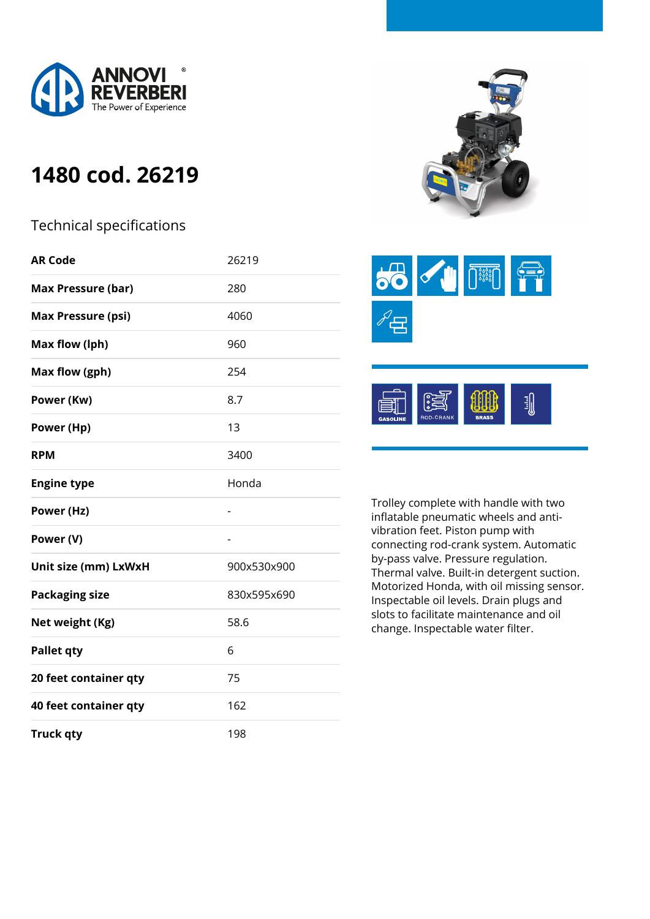

## **1480 cod. 26219**

## Technical specifications

| <b>AR Code</b>            | 26219       |
|---------------------------|-------------|
| <b>Max Pressure (bar)</b> | 280         |
| <b>Max Pressure (psi)</b> | 4060        |
| Max flow (lph)            | 960         |
| Max flow (gph)            | 254         |
| Power (Kw)                | 8.7         |
| Power (Hp)                | 13          |
| <b>RPM</b>                | 3400        |
| <b>Engine type</b>        | Honda       |
| Power (Hz)                |             |
| Power (V)                 | -           |
| Unit size (mm) LxWxH      | 900x530x900 |
| <b>Packaging size</b>     | 830x595x690 |
| Net weight (Kg)           | 58.6        |
| <b>Pallet qty</b>         | 6           |
| 20 feet container qty     | 75          |
| 40 feet container qty     | 162         |
| <b>Truck qty</b>          | 198         |







Trolley complete with handle with two inflatable pneumatic wheels and antivibration feet. Piston pump with connecting rod-crank system. Automatic by-pass valve. Pressure regulation. Thermal valve. Built-in detergent suction. Motorized Honda, with oil missing sensor. Inspectable oil levels. Drain plugs and slots to facilitate maintenance and oil change. Inspectable water filter.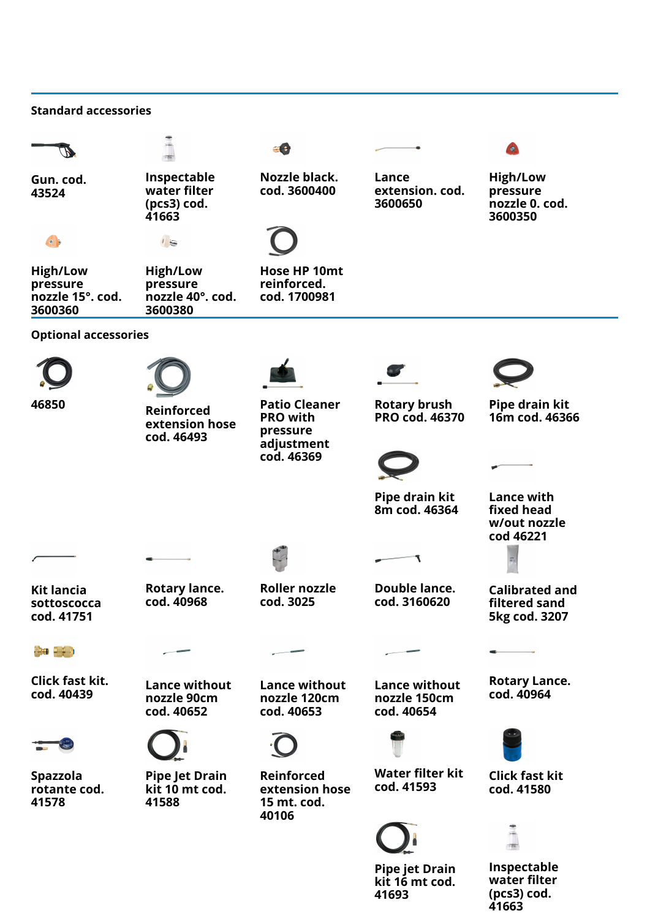